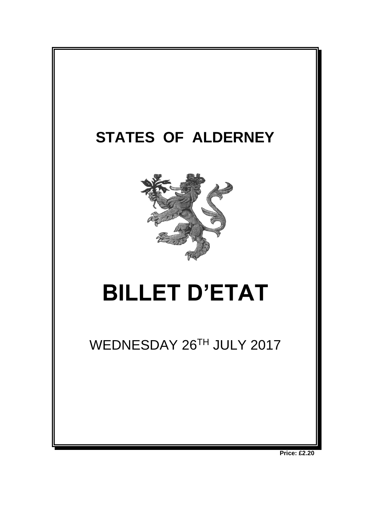

**Price: £2.20**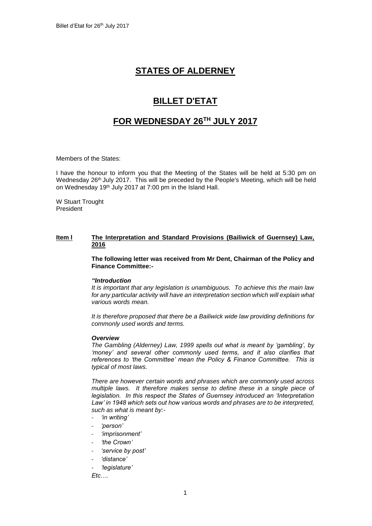# **STATES OF ALDERNEY**

## **BILLET D'ETAT**

### **FOR WEDNESDAY 26TH JULY 2017**

Members of the States:

I have the honour to inform you that the Meeting of the States will be held at 5:30 pm on Wednesday 26<sup>th</sup> July 2017. This will be preceded by the People's Meeting, which will be held on Wednesday 19<sup>th</sup> July 2017 at 7:00 pm in the Island Hall.

W Stuart Trought President

#### **Item l The Interpretation and Standard Provisions (Bailiwick of Guernsey) Law, 2016**

**The following letter was received from Mr Dent, Chairman of the Policy and Finance Committee:-**

#### *"Introduction*

*It is important that any legislation is unambiguous. To achieve this the main law for any particular activity will have an interpretation section which will explain what various words mean.* 

*It is therefore proposed that there be a Bailiwick wide law providing definitions for commonly used words and terms.*

#### *Overview*

*The Gambling (Alderney) Law, 1999 spells out what is meant by 'gambling', by 'money' and several other commonly used terms, and it also clarifies that references to 'the Committee' mean the Policy & Finance Committee. This is typical of most laws.* 

*There are however certain words and phrases which are commonly used across multiple laws. It therefore makes sense to define these in a single piece of legislation. In this respect the States of Guernsey introduced an 'Interpretation Law' in 1948 which sets out how various words and phrases are to be interpreted, such as what is meant by:-*

- *'in writing'*
- *'person'*
- *'imprisonment'*
- *'the Crown'*
- *'service by post'*
- *'distance'*
- *'legislature'*

*Etc….*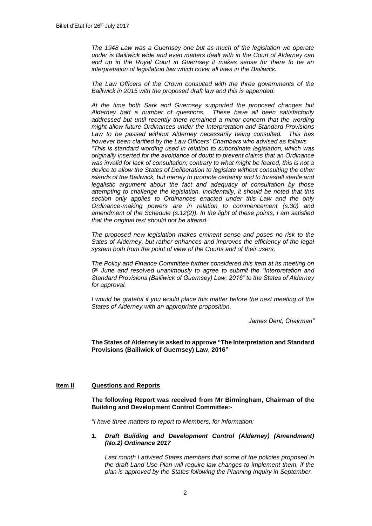*The 1948 Law was a Guernsey one but as much of the legislation we operate under is Bailiwick wide and even matters dealt with in the Court of Alderney can end up in the Royal Court in Guernsey it makes sense for there to be an interpretation of legislation law which cover all laws in the Bailiwick.* 

*The Law Officers of the Crown consulted with the three governments of the Bailiwick in 2015 with the proposed draft law and this is appended.*

*At the time both Sark and Guernsey supported the proposed changes but Alderney had a number of questions. These have all been satisfactorily addressed but until recently there remained a minor concern that the wording might allow future Ordinances under the Interpretation and Standard Provisions Law to be passed without Alderney necessarily being consulted. This has however been clarified by the Law Officers' Chambers who advised as follows "This is standard wording used in relation to subordinate legislation, which was originally inserted for the avoidance of doubt to prevent claims that an Ordinance was invalid for lack of consultation; contrary to what might be feared, this is not a device to allow the States of Deliberation to legislate without consulting the other islands of the Bailiwick, but merely to promote certainty and to forestall sterile and*  legalistic argument about the fact and adequacy of consultation by those *attempting to challenge the legislation. Incidentally, it should be noted that this section only applies to Ordinances enacted under this Law and the only Ordinance-making powers are in relation to commencement (s.30) and amendment of the Schedule (s.12(2)). In the light of these points, I am satisfied that the original text should not be altered."*

*The proposed new legislation makes eminent sense and poses no risk to the Sates of Alderney, but rather enhances and improves the efficiency of the legal system both from the point of view of the Courts and of their users.*

*The Policy and Finance Committee further considered this item at its meeting on 6 th June and resolved unanimously to agree to submit the "Interpretation and Standard Provisions (Bailiwick of Guernsey) Law, 2016" to the States of Alderney for approval.*

*I* would be grateful if you would place this matter before the next meeting of the *States of Alderney with an appropriate proposition.*

*James Dent, Chairman"*

#### **The States of Alderney is asked to approve "The Interpretation and Standard Provisions (Bailiwick of Guernsey) Law, 2016"**

#### **Item II Questions and Reports**

**The following Report was received from Mr Birmingham, Chairman of the Building and Development Control Committee:-**

*"I have three matters to report to Members, for information:*

#### *1. Draft Building and Development Control (Alderney) (Amendment) (No.2) Ordinance 2017*

*Last month I advised States members that some of the policies proposed in the draft Land Use Plan will require law changes to implement them, if the plan is approved by the States following the Planning Inquiry in September.*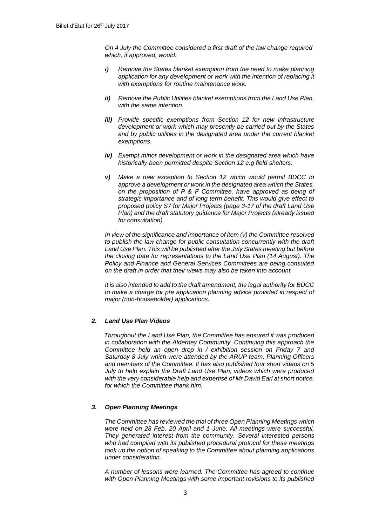*On 4 July the Committee considered a first draft of the law change required which, if approved, would:*

- *i) Remove the States blanket exemption from the need to make planning application for any development or work with the intention of replacing it with exemptions for routine maintenance work.*
- *ii) Remove the Public Utilities blanket exemptions from the Land Use Plan, with the same intention.*
- *iii) Provide specific exemptions from Section 12 for new infrastructure development or work which may presently be carried out by the States and by public utilities in the designated area under the current blanket exemptions.*
- *iv) Exempt minor development or work in the designated area which have historically been permitted despite Section 12 e.g field shelters.*
- *v) Make a new exception to Section 12 which would permit BDCC to approve a development or work in the designated area which the States, on the proposition of P & F Committee, have approved as being of strategic importance and of long term benefit. This would give effect to proposed policy S7 for Major Projects (page 3-17 of the draft Land Use Plan) and the draft statutory guidance for Major Projects (already issued for consultation).*

*In view of the significance and importance of item (v) the Committee resolved to publish the law change for public consultation concurrently with the draft Land Use Plan. This will be published after the July States meeting but before the closing date for representations to the Land Use Plan (14 August). The Policy and Finance and General Services Committees are being consulted on the draft in order that their views may also be taken into account.*

*It is also intended to add to the draft amendment, the legal authority for BDCC to make a charge for pre application planning advice provided in respect of major (non-householder) applications.*

#### *2. Land Use Plan Videos*

*Throughout the Land Use Plan, the Committee has ensured it was produced in collaboration with the Alderney Community. Continuing this approach the Committee held an open drop in / exhibition session on Friday 7 and Saturday 8 July which were attended by the ARUP team, Planning Officers and members of the Committee. It has also published four short videos on 5 July to help explain the Draft Land Use Plan, videos which were produced with the very considerable help and expertise of Mr David Earl at short notice, for which the Committee thank him.*

#### *3. Open Planning Meetings*

*The Committee has reviewed the trial of three Open Planning Meetings which were held on 28 Feb, 20 April and 1 June. All meetings were successful. They generated interest from the community. Several interested persons who had complied with its published procedural protocol for these meetings took up the option of speaking to the Committee about planning applications under consideration.*

*A number of lessons were learned. The Committee has agreed to continue with Open Planning Meetings with some important revisions to its published*